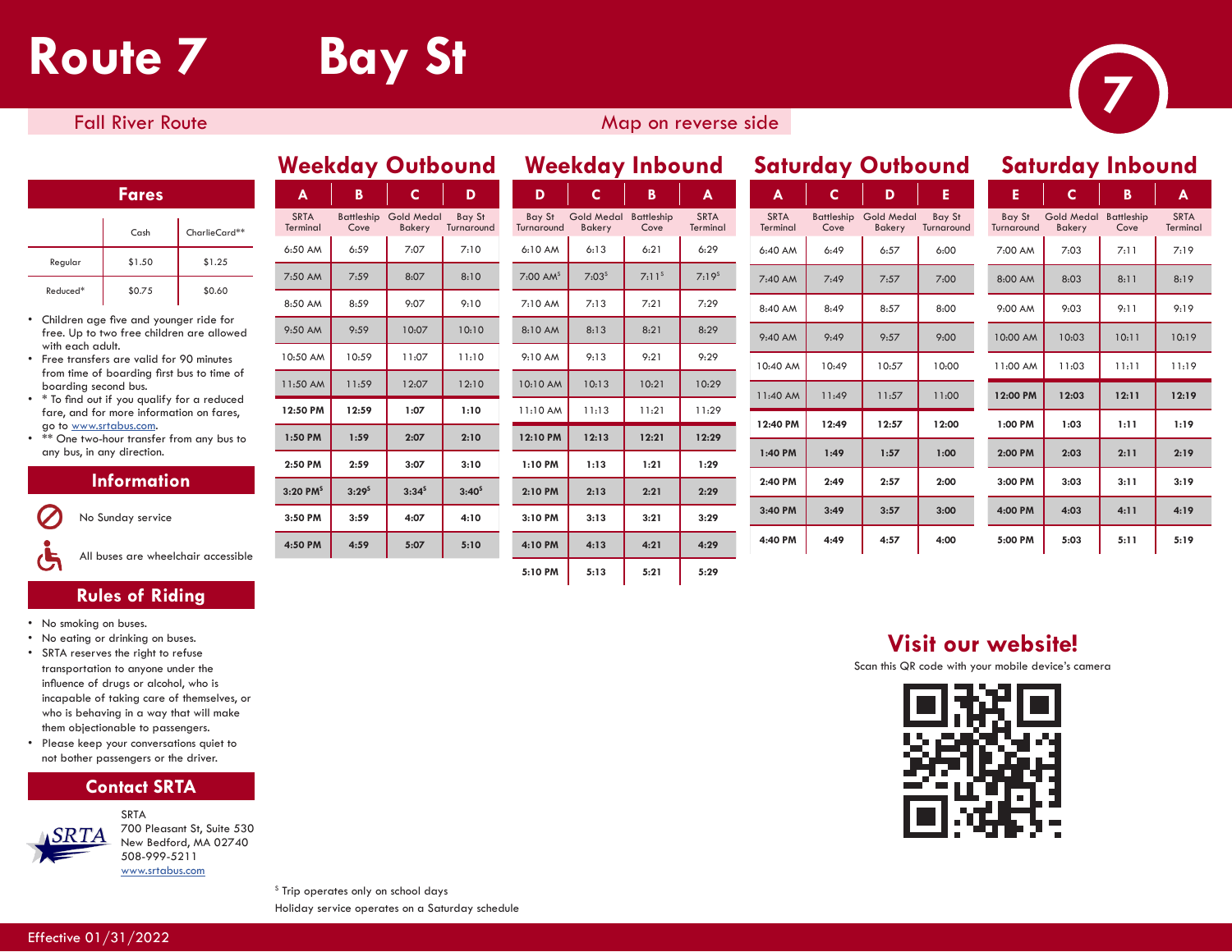# **Route 7 Bay St 7** *Particular Results*

SRTA Terminal

6:50 AM 6:59 7:07  $7:50 \text{ AM}$   $7:59$  8:07 8:50 AM 8:59 9:07 9:50 AM 9:59 10:07 10:50 AM 10:59 11:07 11:50 AM 11:59 12:07 **12:50 PM 12:59 1:07 1:10 1:50 PM 1:59 2:07 2:50 PM 2:59 3:07 3:20 PMS 3:29S 3:34S 3:40S 3:50 PM 3:59 4:07 4:10 4:50 PM 4:59 5:07 5:10**

## **Fall River Route** Map on reverse side Map on reverse side

#### **Fares**

|          | $C$ ash | CharlieCard** |
|----------|---------|---------------|
| Regular  | \$1.50  | \$1.25        |
| Reduced* | \$0.75  | \$0.60        |

- Children age five and younger ride for free. Up to two free children are allowed with each adult.
- Free transfers are valid for 90 minutes from time of boarding first bus to time of boarding second bus.
- \* To find out if you qualify for a reduced fare, and for more information on fares, go to www.srtabus.com.
- \*\* One two-hour transfer from any bus to any bus, in any direction.

#### **Information**

No Sunday service

All buses are wheelchair accessible

#### **Rules of Riding**

- No smoking on buses.
- No eating or drinking on buses.
- SRTA reserves the right to refuse transportation to anyone under the influence of drugs or alcohol, who is incapable of taking care of themselves, or who is behaving in a way that will make them objectionable to passengers.
- Please keep your conversations quiet to not bother passengers or the driver.

### **Contact SRTA**



SRTA 700 Pleasant St, Suite 530 New Bedford, MA 02740 508-999-5211 www.srtabus.com

| A                   | в                  | C.                          | D                    | D                      | C                           | B                  | $\blacktriangle$        | A                       | C                  | D                           | E                    | E                    | C                           | B                  | A                   |
|---------------------|--------------------|-----------------------------|----------------------|------------------------|-----------------------------|--------------------|-------------------------|-------------------------|--------------------|-----------------------------|----------------------|----------------------|-----------------------------|--------------------|---------------------|
| <b>RTA</b><br>minal | Battleship<br>Cove | <b>Gold Medal</b><br>Bakery | Bay St<br>Turnaround | Bay St<br>Turnaround   | <b>Gold Medal</b><br>Bakery | Battleship<br>Cove | <b>SRTA</b><br>Terminal | <b>SRTA</b><br>Terminal | Battleship<br>Cove | <b>Gold Medal</b><br>Bakery | Bay St<br>Turnaround | Bay St<br>Turnaround | <b>Gold Medal</b><br>Bakery | Battleship<br>Cove | <b>SRT</b><br>Termi |
| MA 0                | 6:59               | 7:07                        | 7:10                 | 6:10 AM                | 6:13                        | 6:21               | 6:29                    | 6:40 AM                 | 6:49               | 6:57                        | 6:00                 | 7:00 AM              | 7:03                        | 7:11               | 7:1                 |
| 0 AM                | 7:59               | 8:07                        | 8:10                 | $7:00$ AM <sup>s</sup> | $7:03^{s}$                  | 7:11 <sup>s</sup>  | $7:19^{s}$              | 7:40 AM                 | 7:49               | 7:57                        | 7:00                 | 8:00 AM              | 8:03                        | 8:11               | 8:1                 |
| 0 AM                | 8:59               | 9:07                        | 9:10                 | 7:10 AM                | 7:13                        | 7:21               | 7:29                    | 8:40 AM                 | 8:49               | 8:57                        | 8:00                 | 9:00 AM              | 9:03                        | 9:11               | 9:1                 |
| 0 AM                | 9:59               | 10:07                       | 10:10                | 8:10 AM                | 8:13                        | 8:21               | 8:29                    | 9:40 AM                 | 9:49               | 9:57                        | 9:00                 | 10:00 AM             | 10:03                       | 10:11              | 10:1                |
| 50 AM               | 10:59              | 11:07                       | 11:10                | 9:10 AM                | 9:13                        | 9:21               | 9:29                    | 10:40 AM                | 10:49              | 10:57                       | 10:00                | 11:00 AM             | 11:03                       | 11:11              | 11:1                |
| 50 AM               | 11:59              | 12:07                       | 12:10                | 10:10 AM               | 10:13                       | 10:21              | 10:29                   | 11:40 AM                | 11:49              | 11:57                       | 11:00                | 12:00 PM             | 12:03                       | 12:11              | 12:1                |
| 50 PM               | 12:59              | 1:07                        | 1:10                 | 11:10 AM               | 11:13                       | 11:21              | 11:29                   |                         |                    |                             |                      |                      |                             |                    |                     |
| O PM                | 1:59               | 2:07                        | 2:10                 | 12:10 PM               | 12:13                       | 12:21              | 12:29                   | 12:40 PM                | 12:49              | 12:57                       | 12:00                | 1:00 PM              | 1:03                        | 1:11               | 1:1                 |
| 0 PM                | 2:59               | 3:07                        | 3:10                 | 1:10 PM                | 1:13                        | 1:21               | 1:29                    | 1:40 PM                 | 1:49               | 1:57                        | 1:00                 | 2:00 PM              | 2:03                        | 2:11               | 2:1                 |
| 0 PM <sup>s</sup>   | $3:29^{5}$         | $3:34^5$                    | $3:40^{5}$           | 2:10 PM                | 2:13                        | 2:21               | 2:29                    | 2:40 PM                 | 2:49               | 2:57                        | 2:00                 | 3:00 PM              | 3:03                        | 3:11               | 3:1                 |
| 0 PM                | 3:59               | 4:07                        | 4:10                 | 3:10 PM                | 3:13                        | 3:21               | 3:29                    | 3:40 PM                 | 3:49               | 3:57                        | 3:00                 | 4:00 PM              | 4:03                        | 4:11               | 4:1                 |
|                     |                    |                             |                      |                        |                             |                    |                         | 4:40 PM                 | 4:49               | 4:57                        | 4:00                 | 5:00 PM              | 5:03                        | 5:11               | 5:1                 |
| O PM                | 4:59               | 5:07                        | 5:10                 | 4:10 PM                | 4:13                        | 4:21               | 4:29                    |                         |                    |                             |                      |                      |                             |                    |                     |
|                     |                    |                             |                      | 5:10 PM                | 5:13                        | 5:21               | 5:29                    |                         |                    |                             |                      |                      |                             |                    |                     |

#### SRTA Terminal 6:40 AM 6:49 6:57 6:00 7:40 AM 7:49 7:57 7:00 8:40 AM 8:49 8:57 8:00 9:40 AM | 9:49 | 9:57 | 9:00 10:40 AM 10:49 10:57 10:00 11:40 AM 11:49 11:57 11:00 **12:40 PM 12:49 12:57 12:00 1:40 PM 1:49 1:57 1:00 2:40 PM 2:49 2:57 2:00 3:40 PM 3:49 3:57 3:00 4:40 PM 4:49 4:57 4:00 Weekday Outbound Weekday Inbound Saturday Outbound Saturday Inbound** Battleship Cove Gold Medal Bakery Bay St **Turnaround**

| Е                           |                                    | в                         | А                       |
|-----------------------------|------------------------------------|---------------------------|-------------------------|
| <b>Bay St</b><br>Turnaround | <b>Gold Medal</b><br><b>Bakery</b> | <b>Battleship</b><br>Cove | <b>SRTA</b><br>Terminal |
| 7:00 AM                     | 7:03                               | 7:11                      | 7:19                    |
| 8:00 AM                     | 8:03                               | 8:11                      | 8:19                    |
| 9:00 AM                     | 9:03                               | 9:11                      | 9:19                    |
| 10:00 AM                    | 10:03                              | 10:11                     | 10:19                   |
| 11:00 AM                    | 11:03                              | 11:11                     | 11:19                   |
|                             |                                    |                           |                         |
| 12:00 PM                    | 12:03                              | 12:11                     | 12:19                   |
| 1:00 PM                     | 1:03                               | 1:11                      | 1:19                    |
| 2:00 PM                     | 2:03                               | 2:11                      | 2:19                    |
| 3:00 PM                     | 3:03                               | 3:11                      | 3:19                    |
| 4:00 PM                     | 4:03                               | 4:11                      | 4:19                    |
| 5:00 PM                     | 5:03                               | 5:11                      | 5:19                    |

## **Visit our website!**

Scan this QR code with your mobile device's camera



<sup>s</sup> Trip operates only on school days Holiday service operates on a Saturday schedule